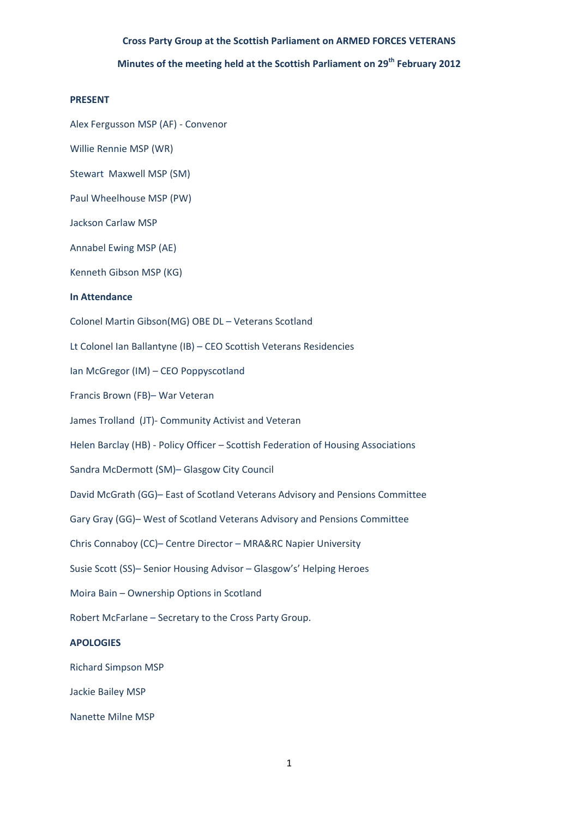# **Minutes of the meeting held at the Scottish Parliament on 29th February 2012**

#### **PRESENT**

Alex Fergusson MSP (AF) ‐ Convenor

Willie Rennie MSP (WR)

Stewart Maxwell MSP (SM)

Paul Wheelhouse MSP (PW)

Jackson Carlaw MSP

Annabel Ewing MSP (AE)

Kenneth Gibson MSP (KG)

#### **In Attendance**

Colonel Martin Gibson(MG) OBE DL – Veterans Scotland

Lt Colonel Ian Ballantyne (IB) – CEO Scottish Veterans Residencies

Ian McGregor (IM) – CEO Poppyscotland

Francis Brown (FB)– War Veteran

James Trolland (JT)‐ Community Activist and Veteran

Helen Barclay (HB) - Policy Officer – Scottish Federation of Housing Associations

Sandra McDermott (SM)– Glasgow City Council

David McGrath (GG)– East of Scotland Veterans Advisory and Pensions Committee

Gary Gray (GG)– West of Scotland Veterans Advisory and Pensions Committee

Chris Connaboy (CC)– Centre Director – MRA&RC Napier University

Susie Scott (SS)– Senior Housing Advisor – Glasgow's' Helping Heroes

Moira Bain – Ownership Options in Scotland

Robert McFarlane – Secretary to the Cross Party Group.

## **APOLOGIES**

Richard Simpson MSP

Jackie Bailey MSP

Nanette Milne MSP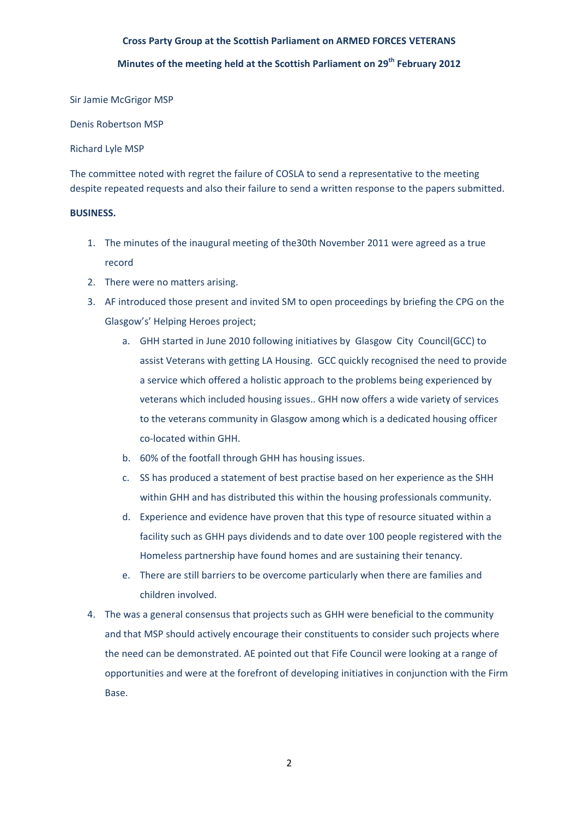# **Minutes of the meeting held at the Scottish Parliament on 29th February 2012**

Sir Jamie McGrigor MSP

Denis Robertson MSP

## Richard Lyle MSP

The committee noted with regret the failure of COSLA to send a representative to the meeting despite repeated requests and also their failure to send a written response to the papers submitted.

## **BUSINESS.**

- 1. The minutes of the inaugural meeting of the30th November 2011 were agreed as a true record
- 2. There were no matters arising.
- 3. AF introduced those present and invited SM to open proceedings by briefing the CPG on the Glasgow's' Helping Heroes project;
	- a. GHH started in June 2010 following initiatives by Glasgow City Council(GCC) to assist Veterans with getting LA Housing. GCC quickly recognised the need to provide a service which offered a holistic approach to the problems being experienced by veterans which included housing issues.. GHH now offers a wide variety of services to the veterans community in Glasgow among which is a dedicated housing officer co‐located within GHH.
	- b. 60% of the footfall through GHH has housing issues.
	- c. SS has produced a statement of best practise based on her experience as the SHH within GHH and has distributed this within the housing professionals community.
	- d. Experience and evidence have proven that this type of resource situated within a facility such as GHH pays dividends and to date over 100 people registered with the Homeless partnership have found homes and are sustaining their tenancy.
	- e. There are still barriers to be overcome particularly when there are families and children involved.
- 4. The was a general consensus that projects such as GHH were beneficial to the community and that MSP should actively encourage their constituents to consider such projects where the need can be demonstrated. AE pointed out that Fife Council were looking at a range of opportunities and were at the forefront of developing initiatives in conjunction with the Firm Base.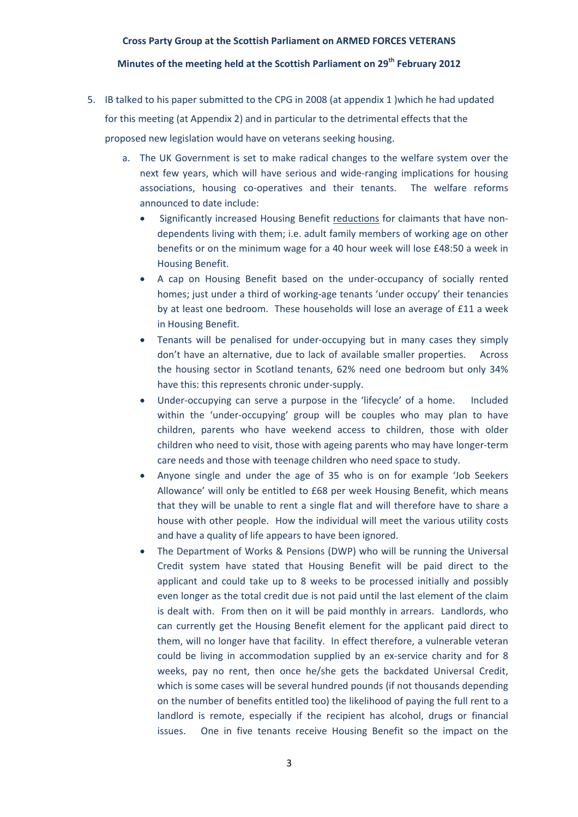## **Minutes of the meeting held at the Scottish Parliament on 29th February 2012**

- 5. IB talked to his paper submitted to the CPG in 2008 (at appendix 1 )which he had updated for this meeting (at Appendix 2) and in particular to the detrimental effects that the proposed new legislation would have on veterans seeking housing.
	- a. The UK Government is set to make radical changes to the welfare system over the next few years, which will have serious and wide‐ranging implications for housing associations, housing co‐operatives and their tenants. The welfare reforms announced to date include:
		- Significantly increased Housing Benefit reductions for claimants that have non‐ dependents living with them; i.e. adult family members of working age on other benefits or on the minimum wage for a 40 hour week will lose £48:50 a week in Housing Benefit.
		- A cap on Housing Benefit based on the under-occupancy of socially rented homes; just under a third of working-age tenants 'under occupy' their tenancies by at least one bedroom. These households will lose an average of £11 a week in Housing Benefit.
		- Tenants will be penalised for under-occupying but in many cases they simply don't have an alternative, due to lack of available smaller properties. Across the housing sector in Scotland tenants, 62% need one bedroom but only 34% have this: this represents chronic under‐supply.
		- Under‐occupying can serve a purpose in the 'lifecycle' of a home. Included within the 'under-occupying' group will be couples who may plan to have children, parents who have weekend access to children, those with older children who need to visit, those with ageing parents who may have longer‐term care needs and those with teenage children who need space to study.
		- Anyone single and under the age of 35 who is on for example 'Job Seekers Allowance' will only be entitled to £68 per week Housing Benefit, which means that they will be unable to rent a single flat and will therefore have to share a house with other people. How the individual will meet the various utility costs and have a quality of life appears to have been ignored.
		- The Department of Works & Pensions (DWP) who will be running the Universal Credit system have stated that Housing Benefit will be paid direct to the applicant and could take up to 8 weeks to be processed initially and possibly even longer as the total credit due is not paid until the last element of the claim is dealt with. From then on it will be paid monthly in arrears. Landlords, who can currently get the Housing Benefit element for the applicant paid direct to them, will no longer have that facility. In effect therefore, a vulnerable veteran could be living in accommodation supplied by an ex-service charity and for 8 weeks, pay no rent, then once he/she gets the backdated Universal Credit, which is some cases will be several hundred pounds (if not thousands depending on the number of benefits entitled too) the likelihood of paying the full rent to a landlord is remote, especially if the recipient has alcohol, drugs or financial issues. One in five tenants receive Housing Benefit so the impact on the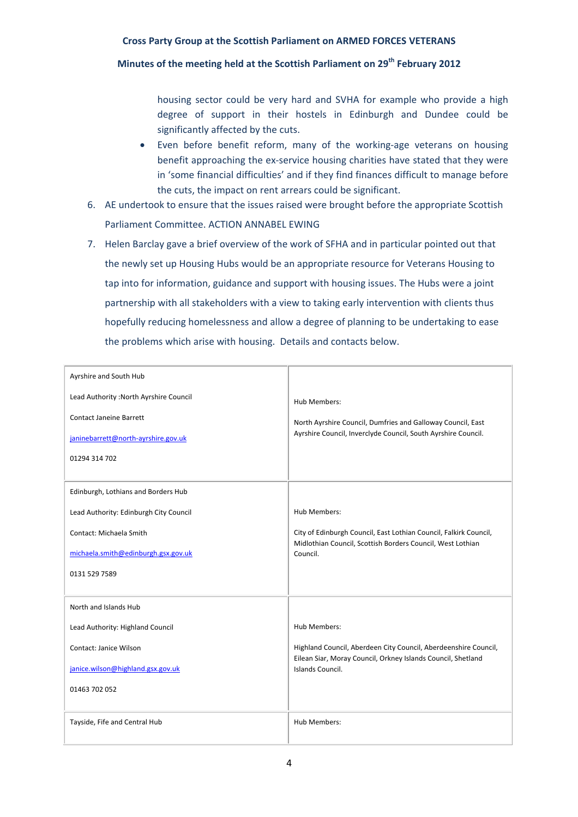# **Minutes of the meeting held at the Scottish Parliament on 29th February 2012**

housing sector could be very hard and SVHA for example who provide a high degree of support in their hostels in Edinburgh and Dundee could be significantly affected by the cuts.

- Even before benefit reform, many of the working‐age veterans on housing benefit approaching the ex‐service housing charities have stated that they were in 'some financial difficulties' and if they find finances difficult to manage before the cuts, the impact on rent arrears could be significant.
- 6. AE undertook to ensure that the issues raised were brought before the appropriate Scottish Parliament Committee. ACTION ANNABEL EWING
- 7. Helen Barclay gave a brief overview of the work of SFHA and in particular pointed out that the newly set up Housing Hubs would be an appropriate resource for Veterans Housing to tap into for information, guidance and support with housing issues. The Hubs were a joint partnership with all stakeholders with a view to taking early intervention with clients thus hopefully reducing homelessness and allow a degree of planning to be undertaking to ease the problems which arise with housing. Details and contacts below.

| Ayrshire and South Hub<br>Lead Authority : North Ayrshire Council<br><b>Contact Janeine Barrett</b><br>janinebarrett@north-ayrshire.gov.uk<br>01294 314 702      | Hub Members:<br>North Ayrshire Council, Dumfries and Galloway Council, East<br>Ayrshire Council, Inverclyde Council, South Ayrshire Council.                        |
|------------------------------------------------------------------------------------------------------------------------------------------------------------------|---------------------------------------------------------------------------------------------------------------------------------------------------------------------|
| Edinburgh, Lothians and Borders Hub<br>Lead Authority: Edinburgh City Council<br>Contact: Michaela Smith<br>michaela.smith@edinburgh.gsx.gov.uk<br>0131 529 7589 | Hub Members:<br>City of Edinburgh Council, East Lothian Council, Falkirk Council,<br>Midlothian Council, Scottish Borders Council, West Lothian<br>Council.         |
| North and Islands Hub<br>Lead Authority: Highland Council<br>Contact: Janice Wilson<br>janice.wilson@highland.gsx.gov.uk<br>01463 702 052                        | Hub Members:<br>Highland Council, Aberdeen City Council, Aberdeenshire Council,<br>Eilean Siar, Moray Council, Orkney Islands Council, Shetland<br>Islands Council. |
| Tayside, Fife and Central Hub                                                                                                                                    | Hub Members:                                                                                                                                                        |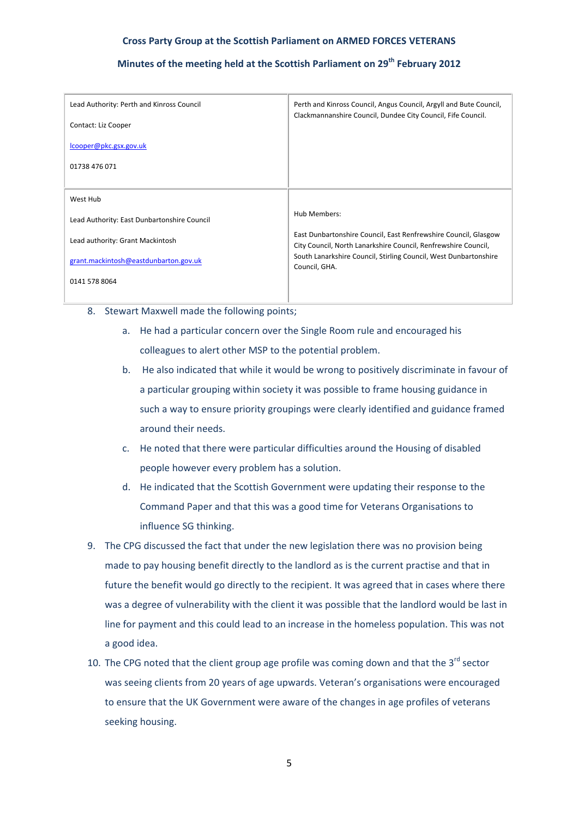# **Minutes of the meeting held at the Scottish Parliament on 29th February 2012**

| Lead Authority: Perth and Kinross Council   | Perth and Kinross Council, Angus Council, Argyll and Bute Council,<br>Clackmannanshire Council, Dundee City Council, Fife Council. |
|---------------------------------------------|------------------------------------------------------------------------------------------------------------------------------------|
| Contact: Liz Cooper                         |                                                                                                                                    |
| lcooper@pkc.gsx.gov.uk                      |                                                                                                                                    |
| 01738 476 071                               |                                                                                                                                    |
|                                             |                                                                                                                                    |
| West Hub                                    |                                                                                                                                    |
| Lead Authority: East Dunbartonshire Council | Hub Members:                                                                                                                       |
| Lead authority: Grant Mackintosh            | East Dunbartonshire Council, East Renfrewshire Council, Glasgow<br>City Council, North Lanarkshire Council, Renfrewshire Council,  |
| grant.mackintosh@eastdunbarton.gov.uk       | South Lanarkshire Council, Stirling Council, West Dunbartonshire<br>Council, GHA.                                                  |
| 0141 578 8064                               |                                                                                                                                    |
|                                             |                                                                                                                                    |

- 8. Stewart Maxwell made the following points;
	- a. He had a particular concern over the Single Room rule and encouraged his colleagues to alert other MSP to the potential problem.
	- b. He also indicated that while it would be wrong to positively discriminate in favour of a particular grouping within society it was possible to frame housing guidance in such a way to ensure priority groupings were clearly identified and guidance framed around their needs.
	- c. He noted that there were particular difficulties around the Housing of disabled people however every problem has a solution.
	- d. He indicated that the Scottish Government were updating their response to the Command Paper and that this was a good time for Veterans Organisations to influence SG thinking.
- 9. The CPG discussed the fact that under the new legislation there was no provision being made to pay housing benefit directly to the landlord as is the current practise and that in future the benefit would go directly to the recipient. It was agreed that in cases where there was a degree of vulnerability with the client it was possible that the landlord would be last in line for payment and this could lead to an increase in the homeless population. This was not a good idea.
- 10. The CPG noted that the client group age profile was coming down and that the  $3^{rd}$  sector was seeing clients from 20 years of age upwards. Veteran's organisations were encouraged to ensure that the UK Government were aware of the changes in age profiles of veterans seeking housing.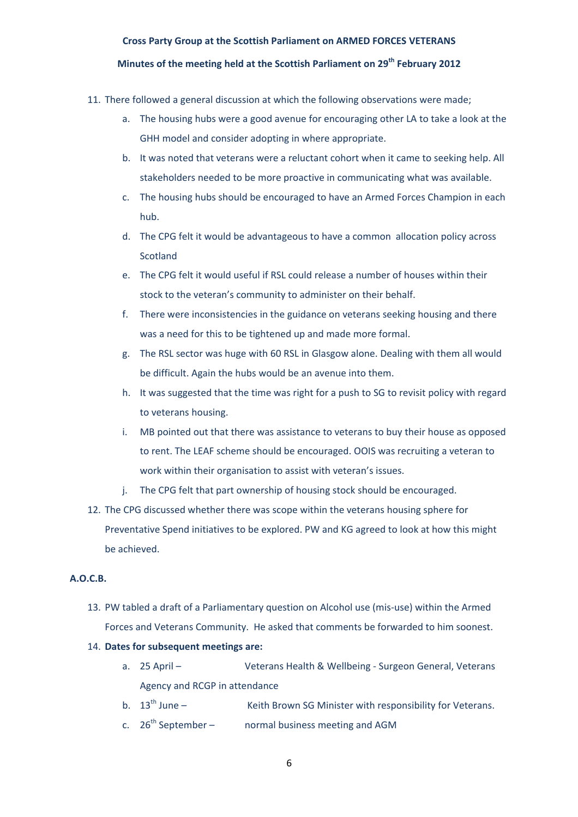# **Minutes of the meeting held at the Scottish Parliament on 29th February 2012**

- 11. There followed a general discussion at which the following observations were made;
	- a. The housing hubs were a good avenue for encouraging other LA to take a look at the GHH model and consider adopting in where appropriate.
	- b. It was noted that veterans were a reluctant cohort when it came to seeking help. All stakeholders needed to be more proactive in communicating what was available.
	- c. The housing hubs should be encouraged to have an Armed Forces Champion in each hub.
	- d. The CPG felt it would be advantageous to have a common allocation policy across Scotland
	- e. The CPG felt it would useful if RSL could release a number of houses within their stock to the veteran's community to administer on their behalf.
	- f. There were inconsistencies in the guidance on veterans seeking housing and there was a need for this to be tightened up and made more formal.
	- g. The RSL sector was huge with 60 RSL in Glasgow alone. Dealing with them all would be difficult. Again the hubs would be an avenue into them.
	- h. It was suggested that the time was right for a push to SG to revisit policy with regard to veterans housing.
	- i. MB pointed out that there was assistance to veterans to buy their house as opposed to rent. The LEAF scheme should be encouraged. OOIS was recruiting a veteran to work within their organisation to assist with veteran's issues.
	- j. The CPG felt that part ownership of housing stock should be encouraged.
- 12. The CPG discussed whether there was scope within the veterans housing sphere for Preventative Spend initiatives to be explored. PW and KG agreed to look at how this might be achieved.

# **A.O.C.B.**

- 13. PW tabled a draft of a Parliamentary question on Alcohol use (mis‐use) within the Armed Forces and Veterans Community. He asked that comments be forwarded to him soonest.
- 14. **Dates for subsequent meetings are:**
	- a. 25 April Veterans Health & Wellbeing ‐ Surgeon General, Veterans Agency and RCGP in attendance
	- b.  $13<sup>th</sup>$  June  $\qquad$  Keith Brown SG Minister with responsibility for Veterans.
	- c.  $26<sup>th</sup> September –$  normal business meeting and AGM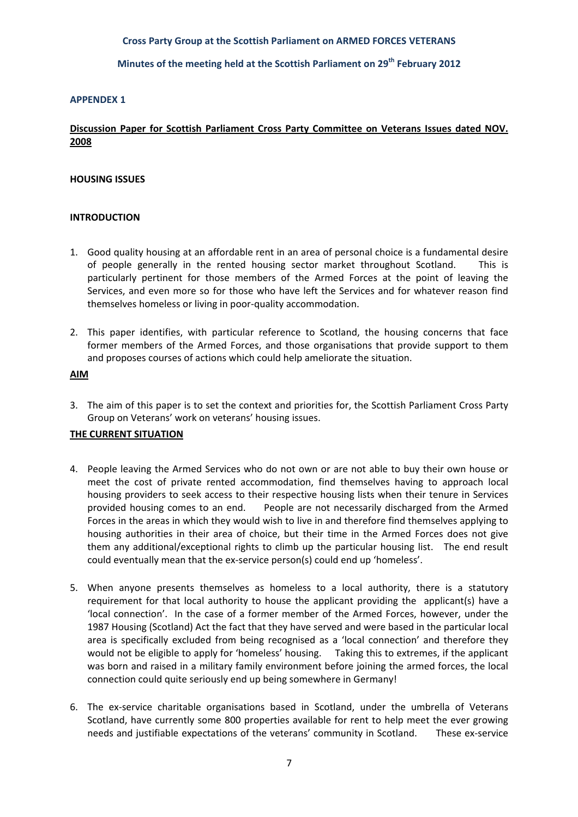# **Minutes of the meeting held at the Scottish Parliament on 29th February 2012**

#### **APPENDEX 1**

# **Discussion Paper for Scottish Parliament Cross Party Committee on Veterans Issues dated NOV. 2008**

## **HOUSING ISSUES**

## **INTRODUCTION**

- 1. Good quality housing at an affordable rent in an area of personal choice is a fundamental desire of people generally in the rented housing sector market throughout Scotland. This is particularly pertinent for those members of the Armed Forces at the point of leaving the Services, and even more so for those who have left the Services and for whatever reason find themselves homeless or living in poor‐quality accommodation.
- 2. This paper identifies, with particular reference to Scotland, the housing concerns that face former members of the Armed Forces, and those organisations that provide support to them and proposes courses of actions which could help ameliorate the situation.

#### **AIM**

3. The aim of this paper is to set the context and priorities for, the Scottish Parliament Cross Party Group on Veterans' work on veterans' housing issues.

# **THE CURRENT SITUATION**

- 4. People leaving the Armed Services who do not own or are not able to buy their own house or meet the cost of private rented accommodation, find themselves having to approach local housing providers to seek access to their respective housing lists when their tenure in Services provided housing comes to an end. People are not necessarily discharged from the Armed Forces in the areas in which they would wish to live in and therefore find themselves applying to housing authorities in their area of choice, but their time in the Armed Forces does not give them any additional/exceptional rights to climb up the particular housing list. The end result could eventually mean that the ex‐service person(s) could end up 'homeless'.
- 5. When anyone presents themselves as homeless to a local authority, there is a statutory requirement for that local authority to house the applicant providing the applicant(s) have a 'local connection'. In the case of a former member of the Armed Forces, however, under the 1987 Housing (Scotland) Act the fact that they have served and were based in the particular local area is specifically excluded from being recognised as a 'local connection' and therefore they would not be eligible to apply for 'homeless' housing. Taking this to extremes, if the applicant was born and raised in a military family environment before joining the armed forces, the local connection could quite seriously end up being somewhere in Germany!
- 6. The ex‐service charitable organisations based in Scotland, under the umbrella of Veterans Scotland, have currently some 800 properties available for rent to help meet the ever growing needs and justifiable expectations of the veterans' community in Scotland. These ex-service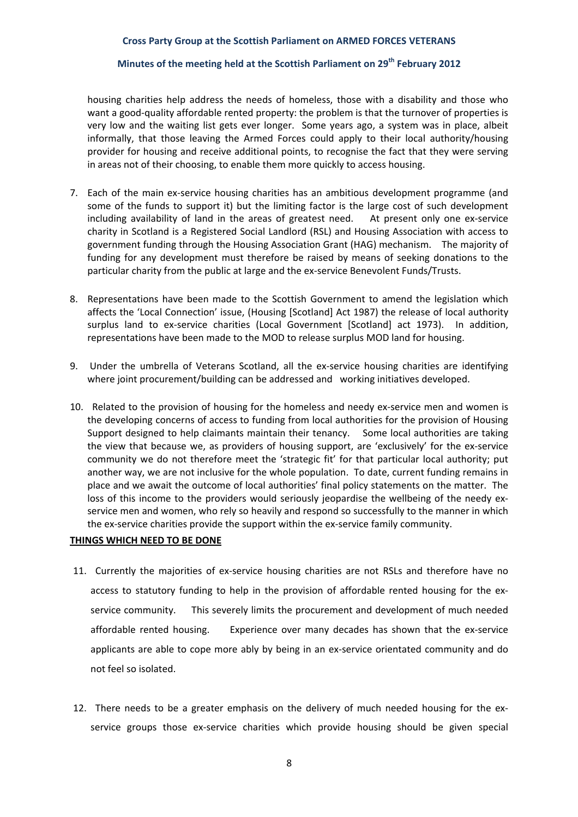# **Minutes of the meeting held at the Scottish Parliament on 29th February 2012**

housing charities help address the needs of homeless, those with a disability and those who want a good-quality affordable rented property: the problem is that the turnover of properties is very low and the waiting list gets ever longer. Some years ago, a system was in place, albeit informally, that those leaving the Armed Forces could apply to their local authority/housing provider for housing and receive additional points, to recognise the fact that they were serving in areas not of their choosing, to enable them more quickly to access housing.

- 7. Each of the main ex‐service housing charities has an ambitious development programme (and some of the funds to support it) but the limiting factor is the large cost of such development including availability of land in the areas of greatest need. At present only one ex-service charity in Scotland is a Registered Social Landlord (RSL) and Housing Association with access to government funding through the Housing Association Grant (HAG) mechanism. The majority of funding for any development must therefore be raised by means of seeking donations to the particular charity from the public at large and the ex-service Benevolent Funds/Trusts.
- 8. Representations have been made to the Scottish Government to amend the legislation which affects the 'Local Connection' issue, (Housing [Scotland] Act 1987) the release of local authority surplus land to ex-service charities (Local Government [Scotland] act 1973). In addition, representations have been made to the MOD to release surplus MOD land for housing.
- 9. Under the umbrella of Veterans Scotland, all the ex-service housing charities are identifying where joint procurement/building can be addressed and working initiatives developed.
- 10. Related to the provision of housing for the homeless and needy ex-service men and women is the developing concerns of access to funding from local authorities for the provision of Housing Support designed to help claimants maintain their tenancy. Some local authorities are taking the view that because we, as providers of housing support, are 'exclusively' for the ex‐service community we do not therefore meet the 'strategic fit' for that particular local authority; put another way, we are not inclusive for the whole population. To date, current funding remains in place and we await the outcome of local authorities' final policy statements on the matter. The loss of this income to the providers would seriously jeopardise the wellbeing of the needy exservice men and women, who rely so heavily and respond so successfully to the manner in which the ex‐service charities provide the support within the ex‐service family community.

## **THINGS WHICH NEED TO BE DONE**

- 11. Currently the majorities of ex-service housing charities are not RSLs and therefore have no access to statutory funding to help in the provision of affordable rented housing for the ex‐ service community. This severely limits the procurement and development of much needed affordable rented housing. Experience over many decades has shown that the ex‐service applicants are able to cope more ably by being in an ex‐service orientated community and do not feel so isolated.
- 12. There needs to be a greater emphasis on the delivery of much needed housing for the exservice groups those ex-service charities which provide housing should be given special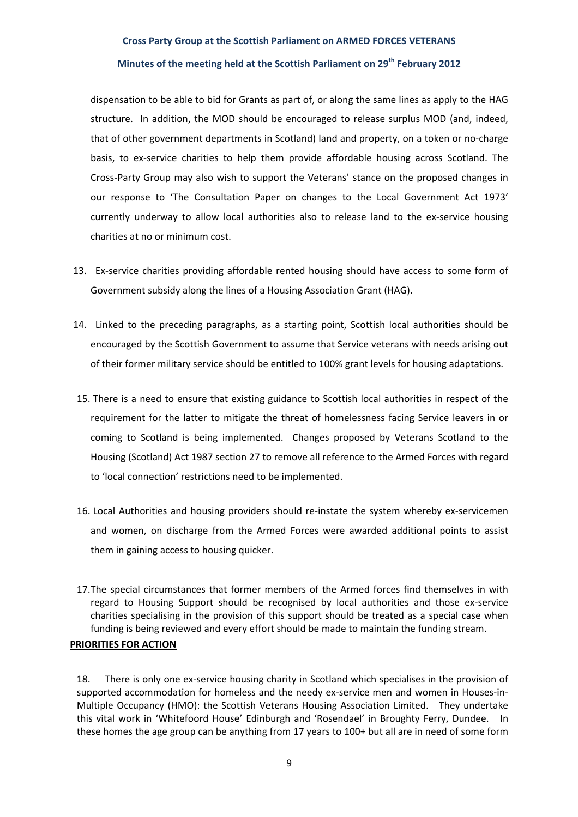#### **Minutes of the meeting held at the Scottish Parliament on 29th February 2012**

dispensation to be able to bid for Grants as part of, or along the same lines as apply to the HAG structure. In addition, the MOD should be encouraged to release surplus MOD (and, indeed, that of other government departments in Scotland) land and property, on a token or no‐charge basis, to ex‐service charities to help them provide affordable housing across Scotland. The Cross‐Party Group may also wish to support the Veterans' stance on the proposed changes in our response to 'The Consultation Paper on changes to the Local Government Act 1973' currently underway to allow local authorities also to release land to the ex-service housing charities at no or minimum cost.

- 13. Ex-service charities providing affordable rented housing should have access to some form of Government subsidy along the lines of a Housing Association Grant (HAG).
- 14. Linked to the preceding paragraphs, as a starting point, Scottish local authorities should be encouraged by the Scottish Government to assume that Service veterans with needs arising out of their former military service should be entitled to 100% grant levels for housing adaptations.
- 15. There is a need to ensure that existing guidance to Scottish local authorities in respect of the requirement for the latter to mitigate the threat of homelessness facing Service leavers in or coming to Scotland is being implemented. Changes proposed by Veterans Scotland to the Housing (Scotland) Act 1987 section 27 to remove all reference to the Armed Forces with regard to 'local connection' restrictions need to be implemented.
- 16. Local Authorities and housing providers should re‐instate the system whereby ex‐servicemen and women, on discharge from the Armed Forces were awarded additional points to assist them in gaining access to housing quicker.
- 17.The special circumstances that former members of the Armed forces find themselves in with regard to Housing Support should be recognised by local authorities and those ex-service charities specialising in the provision of this support should be treated as a special case when funding is being reviewed and every effort should be made to maintain the funding stream.

## **PRIORITIES FOR ACTION**

18. There is only one ex-service housing charity in Scotland which specialises in the provision of supported accommodation for homeless and the needy ex-service men and women in Houses-in-Multiple Occupancy (HMO): the Scottish Veterans Housing Association Limited. They undertake this vital work in 'Whitefoord House' Edinburgh and 'Rosendael' in Broughty Ferry, Dundee. In these homes the age group can be anything from 17 years to 100+ but all are in need of some form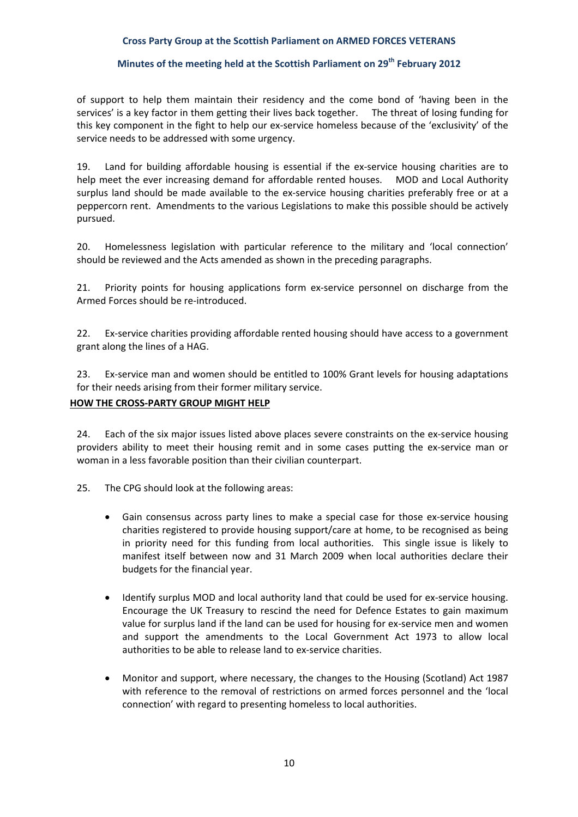# **Minutes of the meeting held at the Scottish Parliament on 29th February 2012**

of support to help them maintain their residency and the come bond of 'having been in the services' is a key factor in them getting their lives back together. The threat of losing funding for this key component in the fight to help our ex‐service homeless because of the 'exclusivity' of the service needs to be addressed with some urgency.

19. Land for building affordable housing is essential if the ex-service housing charities are to help meet the ever increasing demand for affordable rented houses. MOD and Local Authority surplus land should be made available to the ex-service housing charities preferably free or at a peppercorn rent. Amendments to the various Legislations to make this possible should be actively pursued.

20. Homelessness legislation with particular reference to the military and 'local connection' should be reviewed and the Acts amended as shown in the preceding paragraphs.

21. Priority points for housing applications form ex-service personnel on discharge from the Armed Forces should be re‐introduced.

22. Ex-service charities providing affordable rented housing should have access to a government grant along the lines of a HAG.

23. Ex-service man and women should be entitled to 100% Grant levels for housing adaptations for their needs arising from their former military service.

# **HOW THE CROSS‐PARTY GROUP MIGHT HELP**

24. Each of the six major issues listed above places severe constraints on the ex-service housing providers ability to meet their housing remit and in some cases putting the ex‐service man or woman in a less favorable position than their civilian counterpart.

25. The CPG should look at the following areas:

- Gain consensus across party lines to make a special case for those ex‐service housing charities registered to provide housing support/care at home, to be recognised as being in priority need for this funding from local authorities. This single issue is likely to manifest itself between now and 31 March 2009 when local authorities declare their budgets for the financial year.
- Identify surplus MOD and local authority land that could be used for ex‐service housing. Encourage the UK Treasury to rescind the need for Defence Estates to gain maximum value for surplus land if the land can be used for housing for ex‐service men and women and support the amendments to the Local Government Act 1973 to allow local authorities to be able to release land to ex‐service charities.
- Monitor and support, where necessary, the changes to the Housing (Scotland) Act 1987 with reference to the removal of restrictions on armed forces personnel and the 'local connection' with regard to presenting homeless to local authorities.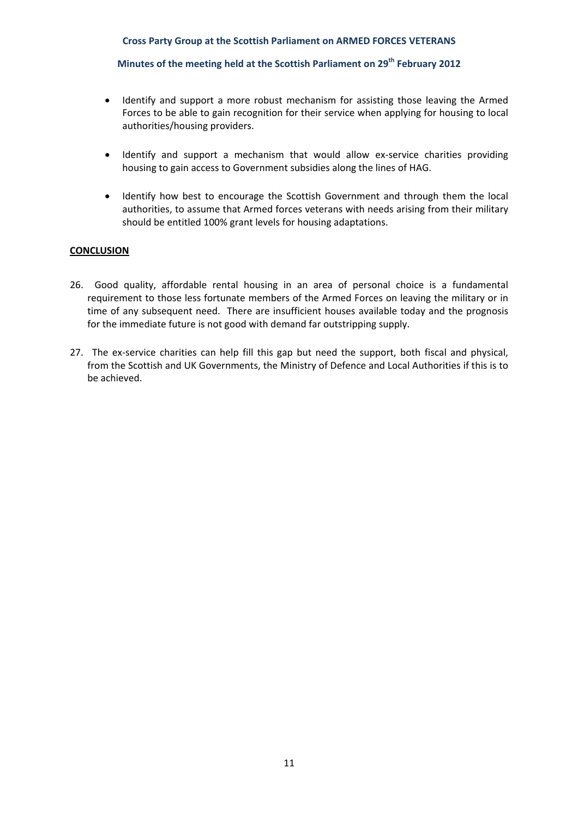# **Minutes of the meeting held at the Scottish Parliament on 29th February 2012**

- Identify and support a more robust mechanism for assisting those leaving the Armed Forces to be able to gain recognition for their service when applying for housing to local authorities/housing providers.
- Identify and support a mechanism that would allow ex-service charities providing housing to gain access to Government subsidies along the lines of HAG.
- Identify how best to encourage the Scottish Government and through them the local authorities, to assume that Armed forces veterans with needs arising from their military should be entitled 100% grant levels for housing adaptations.

## **CONCLUSION**

- 26. Good quality, affordable rental housing in an area of personal choice is a fundamental requirement to those less fortunate members of the Armed Forces on leaving the military or in time of any subsequent need. There are insufficient houses available today and the prognosis for the immediate future is not good with demand far outstripping supply.
- 27. The ex-service charities can help fill this gap but need the support, both fiscal and physical, from the Scottish and UK Governments, the Ministry of Defence and Local Authorities if this is to be achieved.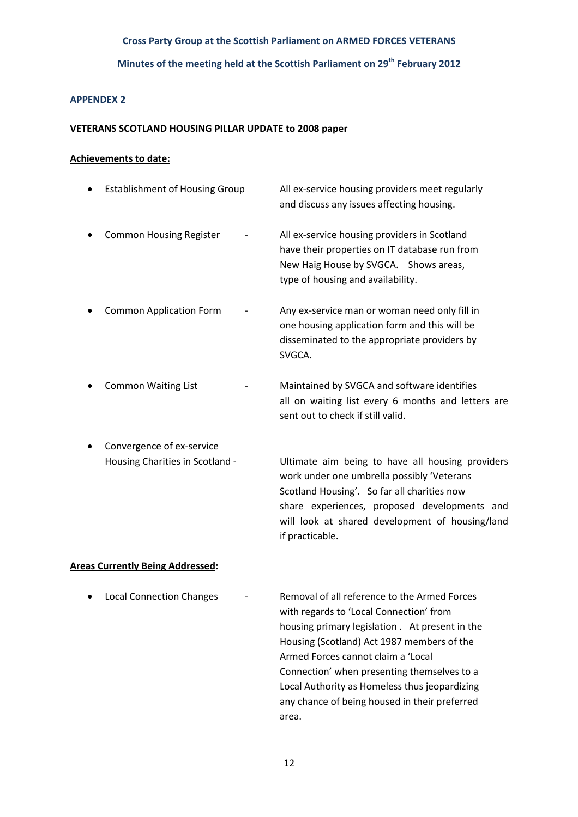# **Minutes of the meeting held at the Scottish Parliament on 29th February 2012**

# **APPENDEX 2**

## **VETERANS SCOTLAND HOUSING PILLAR UPDATE to 2008 paper**

## **Achievements to date:**

| ٠ | <b>Establishment of Housing Group</b> | All ex-service housing providers meet regularly<br>and discuss any issues affecting housing.                                                                                |
|---|---------------------------------------|-----------------------------------------------------------------------------------------------------------------------------------------------------------------------------|
|   | <b>Common Housing Register</b>        | All ex-service housing providers in Scotland<br>have their properties on IT database run from<br>New Haig House by SVGCA. Shows areas,<br>type of housing and availability. |
|   | <b>Common Application Form</b>        | Any ex-service man or woman need only fill in<br>one housing application form and this will be<br>disseminated to the appropriate providers by<br>SVGCA.                    |
|   | <b>Common Waiting List</b>            | Maintained by SVGCA and software identifies<br>all on waiting list every 6 months and letters are                                                                           |

● Convergence of ex-service

Housing Charities in Scotland - **Ware Ultimate aim being to have all housing providers**  work under one umbrella possibly 'Veterans Scotland Housing'. So far all charities now share experiences, proposed developments and will look at shared development of housing/land if practicable.

sent out to check if still valid.

# **Areas Currently Being Addressed:**

• Local Connection Changes **· Removal of all reference to the Armed Forces**  with regards to 'Local Connection' from housing primary legislation . At present in the Housing (Scotland) Act 1987 members of the Armed Forces cannot claim a 'Local Connection' when presenting themselves to a Local Authority as Homeless thus jeopardizing any chance of being housed in their preferred area. A contracto a contracto de area.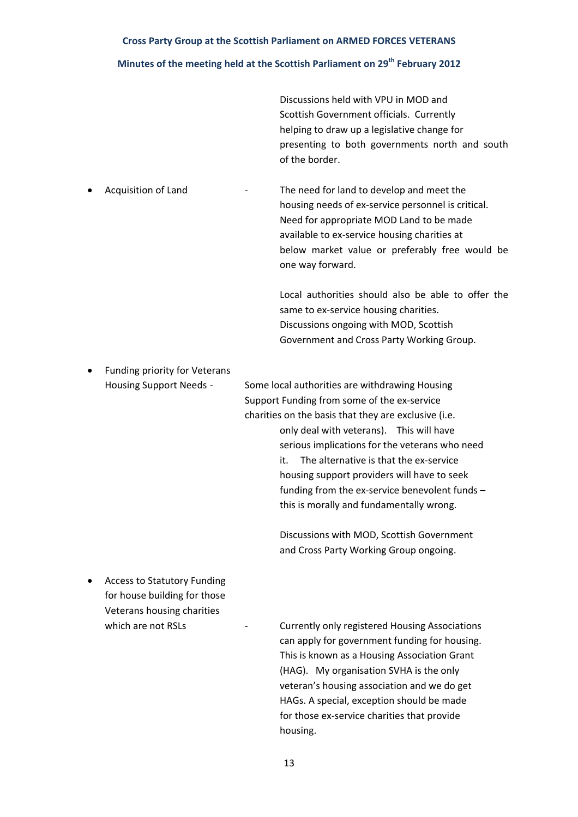# **Minutes of the meeting held at the Scottish Parliament on 29th February 2012**

 Discussions held with VPU in MOD and Scottish Government officials. Currently helping to draw up a legislative change for presenting to both governments north and south of the border.

Acquisition of Land **<sup>1</sup>** The need for land to develop and meet the housing needs of ex‐service personnel is critical. Need for appropriate MOD Land to be made available to ex‐service housing charities at below market value or preferably free would be one way forward.

> Local authorities should also be able to offer the same to ex-service housing charities. Discussions ongoing with MOD, Scottish Government and Cross Party Working Group.

Funding priority for Veterans

Housing Support Needs ‐ Some local authorities are withdrawing Housing Support Funding from some of the ex‐service charities on the basis that they are exclusive (i.e. only deal with veterans). This will have serious implications for the veterans who need it. The alternative is that the ex-service housing support providers will have to seek funding from the ex‐service benevolent funds – this is morally and fundamentally wrong.

> Discussions with MOD, Scottish Government and Cross Party Working Group ongoing.

 Access to Statutory Funding for house building for those Veterans housing charities

which are not RSLs <sup>1</sup> **Currently only registered Housing Associations**  can apply for government funding for housing. This is known as a Housing Association Grant (HAG). My organisation SVHA is the only veteran's housing association and we do get HAGs. A special, exception should be made for those ex‐service charities that provide housing.